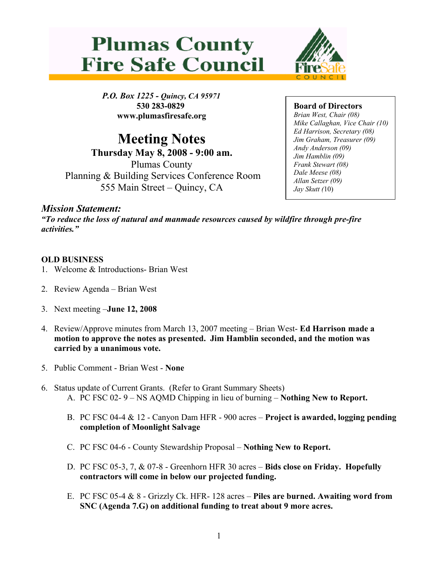



*P.O. Box 1225 - Quincy, CA 95971* **530 283-0829 www.plumasfiresafe.org**

**Meeting Notes Thursday May 8, 2008 - 9:00 am.** Plumas County Planning & Building Services Conference Room 555 Main Street – Quincy, CA

**Board of Directors**

*Brian West, Chair (08) Mike Callaghan, Vice Chair (10) Ed Harrison, Secretary (08) Jim Graham, Treasurer (09) Andy Anderson (09) Jim Hamblin (09) Frank Stewart (08) Dale Meese (08) Allan Setzer (09) Jay Skutt (*10)

## *Mission Statement:*

*"To reduce the loss of natural and manmade resources caused by wildfire through pre-fire activities."* 

## **OLD BUSINESS**

- 1. Welcome & Introductions- Brian West
- 2. Review Agenda Brian West
- 3. Next meeting –**June 12, 2008**
- 4. Review/Approve minutes from March 13, 2007 meeting Brian West- **Ed Harrison made a motion to approve the notes as presented. Jim Hamblin seconded, and the motion was carried by a unanimous vote.**
- 5. Public Comment Brian West **None**
- 6. Status update of Current Grants. (Refer to Grant Summary Sheets) A. PC FSC 02- 9 – NS AQMD Chipping in lieu of burning – **Nothing New to Report.**
	- B. PC FSC 04-4 & 12 Canyon Dam HFR 900 acres **Project is awarded, logging pending completion of Moonlight Salvage**
	- C. PC FSC 04-6 County Stewardship Proposal **Nothing New to Report.**
	- D. PC FSC 05-3, 7, & 07-8 Greenhorn HFR 30 acres **Bids close on Friday. Hopefully contractors will come in below our projected funding.**
	- E. PC FSC 05-4 & 8 Grizzly Ck. HFR- 128 acres **Piles are burned. Awaiting word from SNC (Agenda 7.G) on additional funding to treat about 9 more acres.**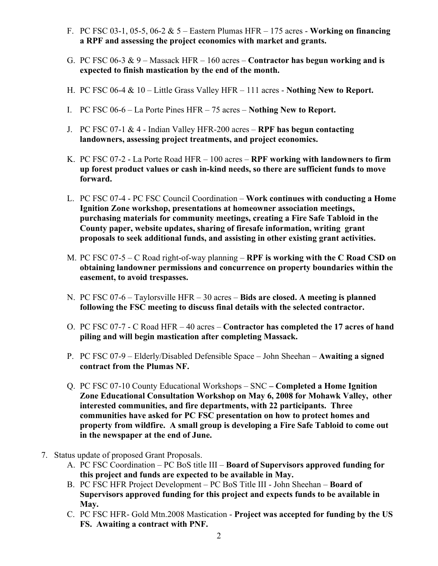- F. PC FSC 03-1, 05-5, 06-2 & 5 Eastern Plumas HFR 175 acres **Working on financing a RPF and assessing the project economics with market and grants.**
- G. PC FSC 06-3 & 9 Massack HFR 160 acres **Contractor has begun working and is expected to finish mastication by the end of the month.**
- H. PC FSC 06-4 & 10 Little Grass Valley HFR 111 acres **Nothing New to Report.**
- I. PC FSC 06-6 La Porte Pines HFR 75 acres **Nothing New to Report.**
- J. PC FSC 07-1 & 4 Indian Valley HFR-200 acres **RPF has begun contacting landowners, assessing project treatments, and project economics.**
- K. PC FSC 07-2 La Porte Road HFR 100 acres **RPF working with landowners to firm up forest product values or cash in-kind needs, so there are sufficient funds to move forward.**
- L. PC FSC 07-4 PC FSC Council Coordination **Work continues with conducting a Home Ignition Zone workshop, presentations at homeowner association meetings, purchasing materials for community meetings, creating a Fire Safe Tabloid in the County paper, website updates, sharing of firesafe information, writing grant proposals to seek additional funds, and assisting in other existing grant activities.**
- M. PC FSC 07-5 C Road right-of-way planning **RPF is working with the C Road CSD on obtaining landowner permissions and concurrence on property boundaries within the easement, to avoid trespasses.**
- N. PC FSC 07-6 Taylorsville HFR 30 acres **Bids are closed. A meeting is planned following the FSC meeting to discuss final details with the selected contractor.**
- O. PC FSC 07-7 C Road HFR 40 acres **Contractor has completed the 17 acres of hand piling and will begin mastication after completing Massack.**
- P. PC FSC 07-9 Elderly/Disabled Defensible Space John Sheehan **Awaiting a signed contract from the Plumas NF.**
- Q. PC FSC 07-10 County Educational Workshops SNC  **Completed a Home Ignition Zone Educational Consultation Workshop on May 6, 2008 for Mohawk Valley, other interested communities, and fire departments, with 22 participants. Three communities have asked for PC FSC presentation on how to protect homes and property from wildfire. A small group is developing a Fire Safe Tabloid to come out in the newspaper at the end of June.**
- 7. Status update of proposed Grant Proposals.
	- A. PC FSC Coordination PC BoS title III **Board of Supervisors approved funding for this project and funds are expected to be available in May.**
	- B. PC FSC HFR Project Development PC BoS Title III John Sheehan **Board of Supervisors approved funding for this project and expects funds to be available in May.**
	- C. PC FSC HFR- Gold Mtn.2008 Mastication **Project was accepted for funding by the US FS. Awaiting a contract with PNF.**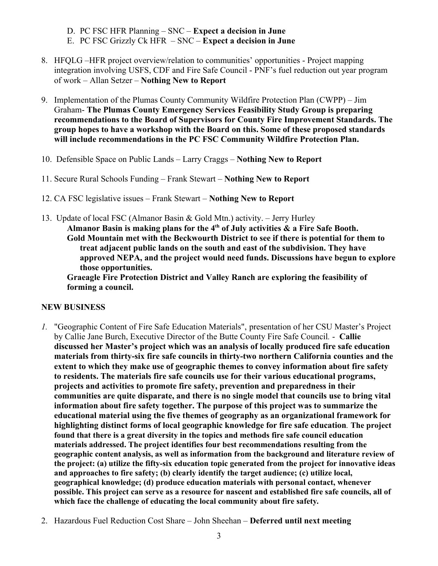- D. PC FSC HFR Planning SNC **Expect a decision in June**
- E. PC FSC Grizzly Ck HFR SNC **Expect a decision in June**
- 8. HFQLG –HFR project overview/relation to communities' opportunities Project mapping integration involving USFS, CDF and Fire Safe Council - PNF's fuel reduction out year program of work – Allan Setzer – **Nothing New to Report**
- 9. Implementation of the Plumas County Community Wildfire Protection Plan (CWPP) Jim Graham- **The Plumas County Emergency Services Feasibility Study Group is preparing recommendations to the Board of Supervisors for County Fire Improvement Standards. The group hopes to have a workshop with the Board on this. Some of these proposed standards will include recommendations in the PC FSC Community Wildfire Protection Plan.**
- 10. Defensible Space on Public Lands Larry Craggs **Nothing New to Report**
- 11. Secure Rural Schools Funding Frank Stewart **Nothing New to Report**
- 12. CA FSC legislative issues Frank Stewart **Nothing New to Report**
- 13. Update of local FSC (Almanor Basin & Gold Mtn.) activity. Jerry Hurley **Almanor Basin is making plans for the 4th of July activities & a Fire Safe Booth. Gold Mountain met with the Beckwourth District to see if there is potential for them to treat adjacent public lands on the south and east of the subdivision. They have approved NEPA, and the project would need funds. Discussions have begun to explore those opportunities.**

**Graeagle Fire Protection District and Valley Ranch are exploring the feasibility of forming a council.**

## **NEW BUSINESS**

- *1.* "Geographic Content of Fire Safe Education Materials", presentation of her CSU Master's Project by Callie Jane Burch, Executive Director of the Butte County Fire Safe Council*.* - **Callie discussed her Master's project which was an analysis of locally produced fire safe education materials from thirty-six fire safe councils in thirty-two northern California counties and the extent to which they make use of geographic themes to convey information about fire safety to residents. The materials fire safe councils use for their various educational programs, projects and activities to promote fire safety, prevention and preparedness in their communities are quite disparate, and there is no single model that councils use to bring vital information about fire safety together. The purpose of this project was to summarize the educational material using the five themes of geography as an organizational framework for highlighting distinct forms of local geographic knowledge for fire safe education***.* **The project found that there is a great diversity in the topics and methods fire safe council education materials addressed. The project identifies four best recommendations resulting from the geographic content analysis, as well as information from the background and literature review of the project: (a) utilize the fifty-six education topic generated from the project for innovative ideas and approaches to fire safety; (b) clearly identify the target audience; (c) utilize local, geographical knowledge; (d) produce education materials with personal contact, whenever possible. This project can serve as a resource for nascent and established fire safe councils, all of which face the challenge of educating the local community about fire safety***.*
- 2. Hazardous Fuel Reduction Cost Share John Sheehan **Deferred until next meeting**